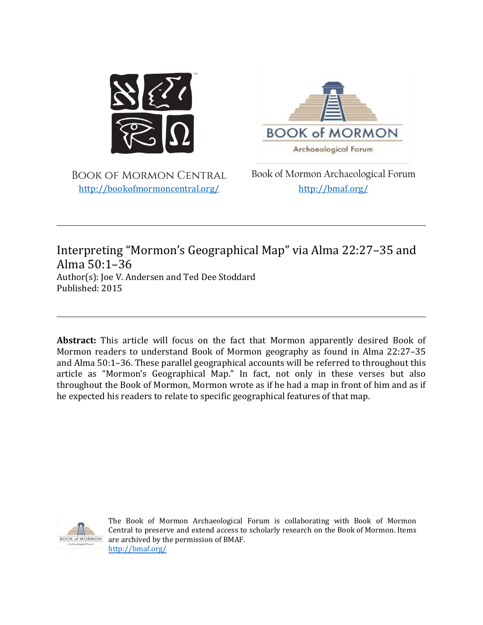

**BOOK of MORMON** Archaeological Forum

Book of Mormon Central <http://bookofmormoncentral.org/>

Book of Mormon Archaeological Forum <http://bmaf.org/>

# Interpreting "Mormon's Geographical Map" via Alma 22:27–35 and Alma 50:1–36

Author(s): Joe V. Andersen and Ted Dee Stoddard Published: 2015

**Abstract:** This article will focus on the fact that Mormon apparently desired Book of Mormon readers to understand Book of Mormon geography as found in Alma 22:27–35 and Alma 50:1–36. These parallel geographical accounts will be referred to throughout this article as "Mormon's Geographical Map." In fact, not only in these verses but also throughout the Book of Mormon, Mormon wrote as if he had a map in front of him and as if he expected his readers to relate to specific geographical features of that map.



The Book of Mormon Archaeological Forum is collaborating with Book of Mormon Central to preserve and extend access to scholarly research on the Book of Mormon. Items are archived by the permission of BMAF. <http://bmaf.org/>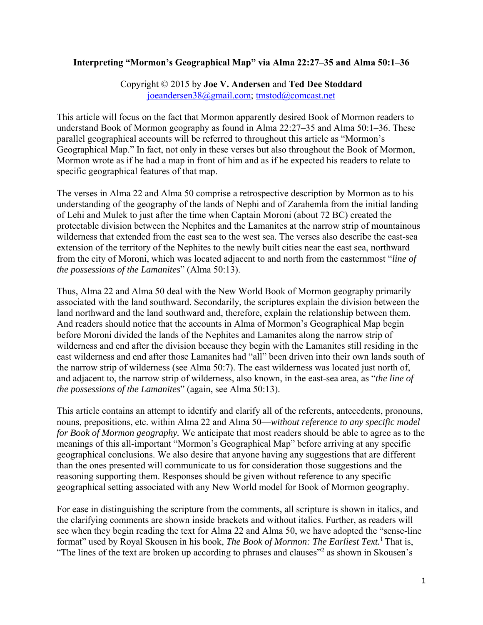## **Interpreting "Mormon's Geographical Map" via Alma 22:27–35 and Alma 50:1–36**

Copyright © 2015 by **Joe V. Andersen** and **Ted Dee Stoddard** joeandersen38@gmail.com; tmstod@comcast.net

This article will focus on the fact that Mormon apparently desired Book of Mormon readers to understand Book of Mormon geography as found in Alma 22:27–35 and Alma 50:1–36. These parallel geographical accounts will be referred to throughout this article as "Mormon's Geographical Map." In fact, not only in these verses but also throughout the Book of Mormon, Mormon wrote as if he had a map in front of him and as if he expected his readers to relate to specific geographical features of that map.

The verses in Alma 22 and Alma 50 comprise a retrospective description by Mormon as to his understanding of the geography of the lands of Nephi and of Zarahemla from the initial landing of Lehi and Mulek to just after the time when Captain Moroni (about 72 BC) created the protectable division between the Nephites and the Lamanites at the narrow strip of mountainous wilderness that extended from the east sea to the west sea. The verses also describe the east-sea extension of the territory of the Nephites to the newly built cities near the east sea, northward from the city of Moroni, which was located adjacent to and north from the easternmost "*line of the possessions of the Lamanites*" (Alma 50:13).

Thus, Alma 22 and Alma 50 deal with the New World Book of Mormon geography primarily associated with the land southward. Secondarily, the scriptures explain the division between the land northward and the land southward and, therefore, explain the relationship between them. And readers should notice that the accounts in Alma of Mormon's Geographical Map begin before Moroni divided the lands of the Nephites and Lamanites along the narrow strip of wilderness and end after the division because they begin with the Lamanites still residing in the east wilderness and end after those Lamanites had "all" been driven into their own lands south of the narrow strip of wilderness (see Alma 50:7). The east wilderness was located just north of, and adjacent to, the narrow strip of wilderness, also known, in the east-sea area, as "*the line of the possessions of the Lamanites*" (again, see Alma 50:13).

This article contains an attempt to identify and clarify all of the referents, antecedents, pronouns, nouns, prepositions, etc. within Alma 22 and Alma 50—*without reference to any specific model for Book of Mormon geography.* We anticipate that most readers should be able to agree as to the meanings of this all-important "Mormon's Geographical Map" before arriving at any specific geographical conclusions. We also desire that anyone having any suggestions that are different than the ones presented will communicate to us for consideration those suggestions and the reasoning supporting them. Responses should be given without reference to any specific geographical setting associated with any New World model for Book of Mormon geography.

For ease in distinguishing the scripture from the comments, all scripture is shown in italics, and the clarifying comments are shown inside brackets and without italics. Further, as readers will see when they begin reading the text for Alma 22 and Alma 50, we have adopted the "sense-line format" used by Royal Skousen in his book, *The Book of Mormon: The Earliest Text.*1 That is, "The lines of the text are broken up according to phrases and clauses"<sup>2</sup> as shown in Skousen's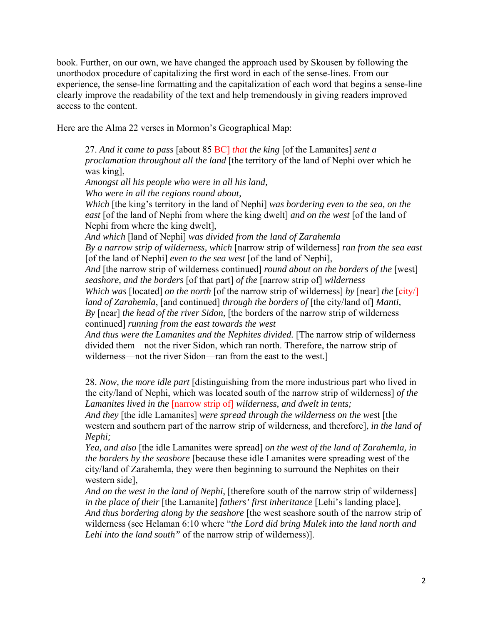book. Further, on our own, we have changed the approach used by Skousen by following the unorthodox procedure of capitalizing the first word in each of the sense-lines. From our experience, the sense-line formatting and the capitalization of each word that begins a sense-line clearly improve the readability of the text and help tremendously in giving readers improved access to the content.

Here are the Alma 22 verses in Mormon's Geographical Map:

27. *And it came to pass* [about 85 BC] *that the king* [of the Lamanites] *sent a proclamation throughout all the land* [the territory of the land of Nephi over which he was king], *Amongst all his people who were in all his land, Who were in all the regions round about, Which* [the king's territory in the land of Nephi] *was bordering even to the sea, on the east* [of the land of Nephi from where the king dwelt] *and on the west* [of the land of Nephi from where the king dwelt], *And which* [land of Nephi] *was divided from the land of Zarahemla By a narrow strip of wilderness, which* [narrow strip of wilderness] *ran from the sea east*  [of the land of Nephi] *even to the sea west* [of the land of Nephi], And [the narrow strip of wilderness continued] *round about on the borders of the* [west] *seashore, and the borders* [of that part] *of the* [narrow strip of] *wilderness Which was* [located] *on the north* [of the narrow strip of wilderness] *by* [near] *the* [city/] *land of Zarahemla*, [and continued] *through the borders of* [the city/land of] *Manti, By* [near] *the head of the river Sidon,* [the borders of the narrow strip of wilderness continued] *running from the east towards the west*  And thus were the Lamanites and the Nephites divided. [The narrow strip of wilderness divided them—not the river Sidon, which ran north. Therefore, the narrow strip of wilderness—not the river Sidon—ran from the east to the west.]

28. *Now, the more idle part* [distinguishing from the more industrious part who lived in the city/land of Nephi, which was located south of the narrow strip of wilderness] *of the Lamanites lived in the* [narrow strip of] *wilderness, and dwelt in tents;*

*And they* [the idle Lamanites] *were spread through the wilderness on the wes*t [the western and southern part of the narrow strip of wilderness, and therefore], *in the land of Nephi;* 

*Yea, and also* [the idle Lamanites were spread] *on the west of the land of Zarahemla, in the borders by the seashore* [because these idle Lamanites were spreading west of the city/land of Zarahemla, they were then beginning to surround the Nephites on their western side],

*And on the west in the land of Nephi*, [therefore south of the narrow strip of wilderness] *in the place of their* [the Lamanite] *fathers' first inheritance* [Lehi's landing place], *And thus bordering along by the seashore* [the west seashore south of the narrow strip of wilderness (see Helaman 6:10 where "*the Lord did bring Mulek into the land north and Lehi into the land south"* of the narrow strip of wilderness)].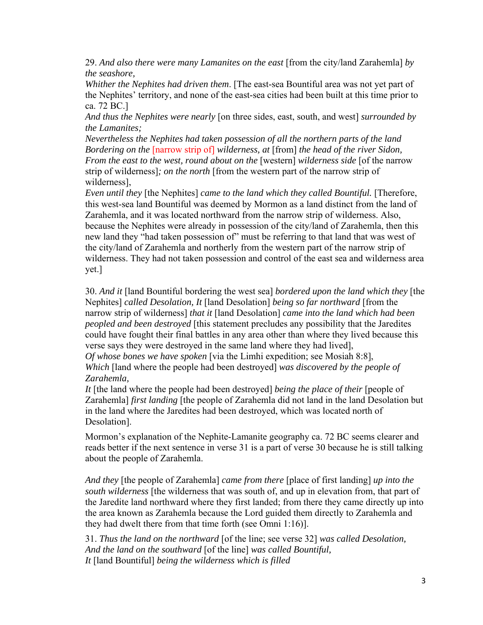29. *And also there were many Lamanites on the east* [from the city/land Zarahemla] *by the seashore,* 

*Whither the Nephites had driven them*. [The east-sea Bountiful area was not yet part of the Nephites' territory, and none of the east-sea cities had been built at this time prior to ca. 72 BC.]

*And thus the Nephites were nearly* [on three sides, east, south, and west] *surrounded by the Lamanites;* 

*Nevertheless the Nephites had taken possession of all the northern parts of the land Bordering on the* [narrow strip of] *wilderness, at* [from] *the head of the river Sidon, From the east to the west, round about on the* [western] *wilderness side* [of the narrow strip of wilderness]*; on the north* [from the western part of the narrow strip of wilderness],

*Even until they* [the Nephites] *came to the land which they called Bountiful.* [Therefore, this west-sea land Bountiful was deemed by Mormon as a land distinct from the land of Zarahemla, and it was located northward from the narrow strip of wilderness. Also, because the Nephites were already in possession of the city/land of Zarahemla, then this new land they "had taken possession of" must be referring to that land that was west of the city/land of Zarahemla and northerly from the western part of the narrow strip of wilderness. They had not taken possession and control of the east sea and wilderness area yet.]

30. *And it* [land Bountiful bordering the west sea] *bordered upon the land which they* [the Nephites] *called Desolation, It* [land Desolation] *being so far northward* [from the narrow strip of wilderness] *that it* [land Desolation] *came into the land which had been peopled and been destroyed* [this statement precludes any possibility that the Jaredites could have fought their final battles in any area other than where they lived because this verse says they were destroyed in the same land where they had lived],

*Of whose bones we have spoken* [via the Limhi expedition; see Mosiah 8:8],

*Which* [land where the people had been destroyed] *was discovered by the people of Zarahemla,* 

*It* [the land where the people had been destroyed] *being the place of their* [people of Zarahemla] *first landing* [the people of Zarahemla did not land in the land Desolation but in the land where the Jaredites had been destroyed, which was located north of Desolation].

Mormon's explanation of the Nephite-Lamanite geography ca. 72 BC seems clearer and reads better if the next sentence in verse 31 is a part of verse 30 because he is still talking about the people of Zarahemla.

*And they* [the people of Zarahemla] *came from there* [place of first landing] *up into the south wilderness* [the wilderness that was south of, and up in elevation from, that part of the Jaredite land northward where they first landed; from there they came directly up into the area known as Zarahemla because the Lord guided them directly to Zarahemla and they had dwelt there from that time forth (see Omni 1:16)].

31. *Thus the land on the northward* [of the line; see verse 32] *was called Desolation, And the land on the southward* [of the line] *was called Bountiful, It* [land Bountiful] *being the wilderness which is filled*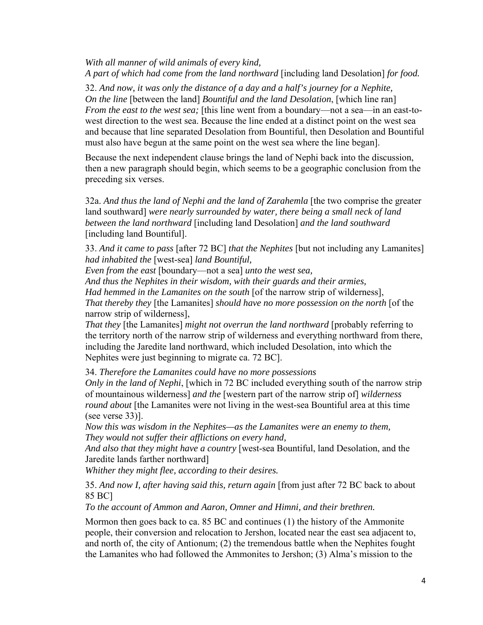### *With all manner of wild animals of every kind, A part of which had come from the land northward* [including land Desolation] *for food.*

32. *And now, it was only the distance of a day and a half's journey for a Nephite, On the line* [between the land] *Bountiful and the land Desolation*, [which line ran] *From the east to the west sea;* [this line went from a boundary—not a sea—in an east-towest direction to the west sea. Because the line ended at a distinct point on the west sea and because that line separated Desolation from Bountiful, then Desolation and Bountiful must also have begun at the same point on the west sea where the line began].

Because the next independent clause brings the land of Nephi back into the discussion, then a new paragraph should begin, which seems to be a geographic conclusion from the preceding six verses.

32a. *And thus the land of Nephi and the land of Zarahemla* [the two comprise the greater land southward] *were nearly surrounded by water, there being a small neck of land between the land northward* [including land Desolation] *and the land southward*  [including land Bountiful].

33. *And it came to pass* [after 72 BC] *that the Nephites* [but not including any Lamanites] *had inhabited the* [west-sea] *land Bountiful,* 

*Even from the east* [boundary—not a sea] *unto the west sea,* 

*And thus the Nephites in their wisdom, with their guards and their armies,* 

*Had hemmed in the Lamanites on the south* [of the narrow strip of wilderness], *That thereby they* [the Lamanites] *should have no more possession on the north* [of the narrow strip of wilderness],

*That they* [the Lamanites] *might not overrun the land northward* [probably referring to the territory north of the narrow strip of wilderness and everything northward from there, including the Jaredite land northward, which included Desolation, into which the Nephites were just beginning to migrate ca. 72 BC].

34. *Therefore the Lamanites could have no more possessions* 

*Only in the land of Nephi*, [which in 72 BC included everything south of the narrow strip of mountainous wilderness] *and the* [western part of the narrow strip of] *wilderness round about* [the Lamanites were not living in the west-sea Bountiful area at this time (see verse 33)].

*Now this was wisdom in the Nephites—as the Lamanites were an enemy to them, They would not suffer their afflictions on every hand,* 

*And also that they might have a country* [west-sea Bountiful, land Desolation, and the Jaredite lands farther northward]

*Whither they might flee, according to their desires.*

35. *And now I, after having said this, return again* [from just after 72 BC back to about 85 BC]

*To the account of Ammon and Aaron, Omner and Himni, and their brethren.* 

Mormon then goes back to ca. 85 BC and continues (1) the history of the Ammonite people, their conversion and relocation to Jershon, located near the east sea adjacent to, and north of, the city of Antionum; (2) the tremendous battle when the Nephites fought the Lamanites who had followed the Ammonites to Jershon; (3) Alma's mission to the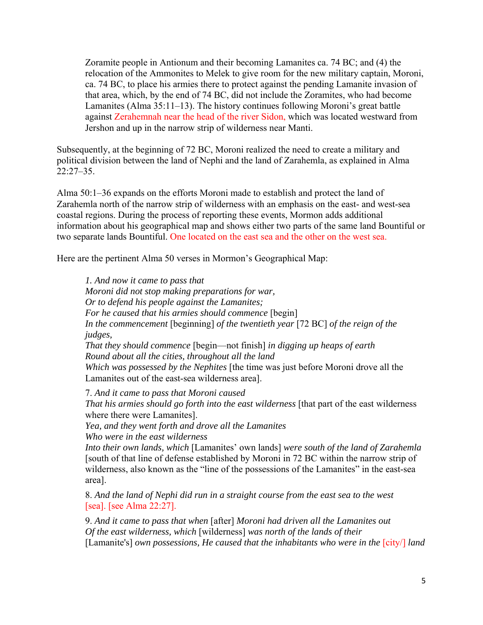Zoramite people in Antionum and their becoming Lamanites ca. 74 BC; and (4) the relocation of the Ammonites to Melek to give room for the new military captain, Moroni, ca. 74 BC, to place his armies there to protect against the pending Lamanite invasion of that area, which, by the end of 74 BC, did not include the Zoramites, who had become Lamanites (Alma 35:11–13). The history continues following Moroni's great battle against Zerahemnah near the head of the river Sidon, which was located westward from Jershon and up in the narrow strip of wilderness near Manti.

Subsequently, at the beginning of 72 BC, Moroni realized the need to create a military and political division between the land of Nephi and the land of Zarahemla, as explained in Alma 22:27–35.

Alma 50:1–36 expands on the efforts Moroni made to establish and protect the land of Zarahemla north of the narrow strip of wilderness with an emphasis on the east- and west-sea coastal regions. During the process of reporting these events, Mormon adds additional information about his geographical map and shows either two parts of the same land Bountiful or two separate lands Bountiful. One located on the east sea and the other on the west sea.

Here are the pertinent Alma 50 verses in Mormon's Geographical Map:

*1. And now it came to pass that Moroni did not stop making preparations for war, Or to defend his people against the Lamanites; For he caused that his armies should commence* [begin] *In the commencement* [beginning] *of the twentieth year* [72 BC] *of the reign of the judges, That they should commence* [begin—not finish] *in digging up heaps of earth Round about all the cities, throughout all the land Which was possessed by the Nephites* [the time was just before Moroni drove all the Lamanites out of the east-sea wilderness area].

7. *And it came to pass that Moroni caused That his armies should go forth into the east wilderness* [that part of the east wilderness where there were Lamanites].

*Yea, and they went forth and drove all the Lamanites Who were in the east wilderness* 

*Into their own lands, which* [Lamanites' own lands] *were south of the land of Zarahemla* [south of that line of defense established by Moroni in 72 BC within the narrow strip of wilderness, also known as the "line of the possessions of the Lamanites" in the east-sea area].

8. *And the land of Nephi did run in a straight course from the east sea to the west*  [sea]. [see Alma 22:27].

9. *And it came to pass that when* [after] *Moroni had driven all the Lamanites out Of the east wilderness, which* [wilderness] *was north of the lands of their*  [Lamanite's] *own possessions, He caused that the inhabitants who were in the [city/] land*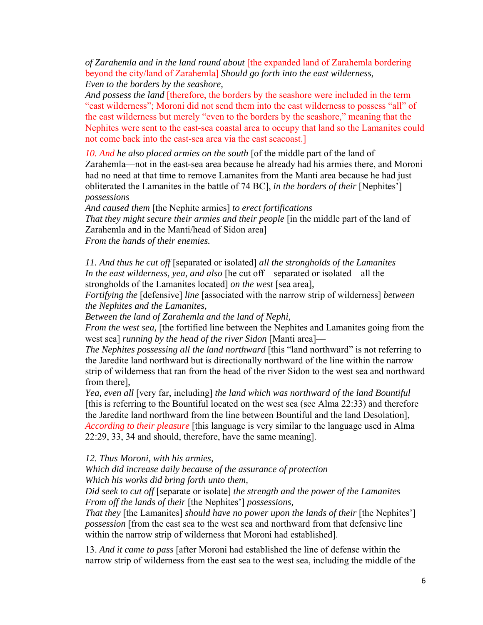*of Zarahemla and in the land round about* [the expanded land of Zarahemla bordering beyond the city/land of Zarahemla] *Should go forth into the east wilderness, Even to the borders by the seashore,* 

*And possess the land* [therefore, the borders by the seashore were included in the term "east wilderness"; Moroni did not send them into the east wilderness to possess "all" of the east wilderness but merely "even to the borders by the seashore," meaning that the Nephites were sent to the east-sea coastal area to occupy that land so the Lamanites could not come back into the east-sea area via the east seacoast.]

10. And he also placed armies on the south [of the middle part of the land of Zarahemla—not in the east-sea area because he already had his armies there, and Moroni had no need at that time to remove Lamanites from the Manti area because he had just obliterated the Lamanites in the battle of 74 BC], *in the borders of their* [Nephites'] *possessions* 

*And caused them* [the Nephite armies] *to erect fortifications That they might secure their armies and their people* [in the middle part of the land of Zarahemla and in the Manti/head of Sidon area] *From the hands of their enemies.*

*11. And thus he cut off* [separated or isolated] *all the strongholds of the Lamanites In the east wilderness, yea, and also* [he cut off—separated or isolated—all the strongholds of the Lamanites located] *on the west* [sea area],

*Fortifying the* [defensive] *line* [associated with the narrow strip of wilderness] *between the Nephites and the Lamanites,* 

*Between the land of Zarahemla and the land of Nephi,* 

*From the west sea,* [the fortified line between the Nephites and Lamanites going from the west sea] *running by the head of the river Sidon* [Manti area]—

*The Nephites possessing all the land northward* [this "land northward" is not referring to the Jaredite land northward but is directionally northward of the line within the narrow strip of wilderness that ran from the head of the river Sidon to the west sea and northward from there],

*Yea, even all* [very far, including] *the land which was northward of the land Bountiful*  [this is referring to the Bountiful located on the west sea (see Alma 22:33) and therefore the Jaredite land northward from the line between Bountiful and the land Desolation], *According to their pleasure* [this language is very similar to the language used in Alma 22:29, 33, 34 and should, therefore, have the same meaning].

#### *12. Thus Moroni, with his armies,*

*Which did increase daily because of the assurance of protection Which his works did bring forth unto them,* 

*Did seek to cut off* [separate or isolate] *the strength and the power of the Lamanites From off the lands of their* [the Nephites'] *possessions,* 

*That they* [the Lamanites] *should have no power upon the lands of their* [the Nephites'] *possession* [from the east sea to the west sea and northward from that defensive line within the narrow strip of wilderness that Moroni had established].

13. *And it came to pass* [after Moroni had established the line of defense within the narrow strip of wilderness from the east sea to the west sea, including the middle of the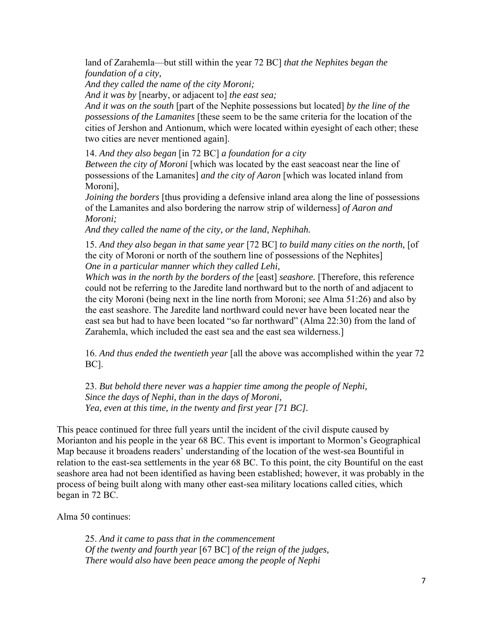land of Zarahemla—but still within the year 72 BC] *that the Nephites began the foundation of a city,* 

*And they called the name of the city Moroni;* 

*And it was by* [nearby, or adjacent to] *the east sea;* 

*And it was on the south* [part of the Nephite possessions but located] *by the line of the possessions of the Lamanites* [these seem to be the same criteria for the location of the cities of Jershon and Antionum, which were located within eyesight of each other; these two cities are never mentioned again].

14. *And they also began* [in 72 BC] *a foundation for a city* 

*Between the city of Moroni* [which was located by the east seacoast near the line of possessions of the Lamanites] *and the city of Aaron* [which was located inland from Moroni],

*Joining the borders* [thus providing a defensive inland area along the line of possessions of the Lamanites and also bordering the narrow strip of wilderness] *of Aaron and Moroni;* 

*And they called the name of the city, or the land, Nephihah.* 

15. *And they also began in that same year* [72 BC] *to build many cities on the north,* [of the city of Moroni or north of the southern line of possessions of the Nephites] *One in a particular manner which they called Lehi,* 

*Which was in the north by the borders of the* [east] *seashore*. [Therefore, this reference could not be referring to the Jaredite land northward but to the north of and adjacent to the city Moroni (being next in the line north from Moroni; see Alma 51:26) and also by the east seashore. The Jaredite land northward could never have been located near the east sea but had to have been located "so far northward" (Alma 22:30) from the land of Zarahemla, which included the east sea and the east sea wilderness.]

16. *And thus ended the twentieth year* [all the above was accomplished within the year 72 BC].

23. *But behold there never was a happier time among the people of Nephi, Since the days of Nephi, than in the days of Moroni, Yea, even at this time, in the twenty and first year [71 BC].*

This peace continued for three full years until the incident of the civil dispute caused by Morianton and his people in the year 68 BC. This event is important to Mormon's Geographical Map because it broadens readers' understanding of the location of the west-sea Bountiful in relation to the east-sea settlements in the year 68 BC. To this point, the city Bountiful on the east seashore area had not been identified as having been established; however, it was probably in the process of being built along with many other east-sea military locations called cities, which began in 72 BC.

Alma 50 continues:

25. *And it came to pass that in the commencement Of the twenty and fourth year* [67 BC] *of the reign of the judges, There would also have been peace among the people of Nephi*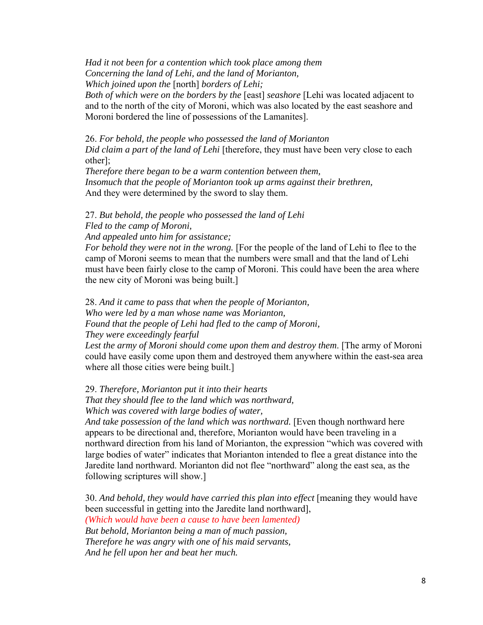*Had it not been for a contention which took place among them Concerning the land of Lehi, and the land of Morianton, Which joined upon the* [north] *borders of Lehi;* 

*Both of which were on the borders by the* [east] *seashore* [Lehi was located adjacent to and to the north of the city of Moroni, which was also located by the east seashore and Moroni bordered the line of possessions of the Lamanites].

26. *For behold, the people who possessed the land of Morianton Did claim a part of the land of Lehi* [therefore, they must have been very close to each other];

*Therefore there began to be a warm contention between them, Insomuch that the people of Morianton took up arms against their brethren,*  And they were determined by the sword to slay them.

27. *But behold, the people who possessed the land of Lehi Fled to the camp of Moroni, And appealed unto him for assistance;* 

*For behold they were not in the wrong.* [For the people of the land of Lehi to flee to the camp of Moroni seems to mean that the numbers were small and that the land of Lehi must have been fairly close to the camp of Moroni. This could have been the area where the new city of Moroni was being built.]

28. *And it came to pass that when the people of Morianton, Who were led by a man whose name was Morianton, Found that the people of Lehi had fled to the camp of Moroni, They were exceedingly fearful* 

*Lest the army of Moroni should come upon them and destroy them*. [The army of Moroni could have easily come upon them and destroyed them anywhere within the east-sea area where all those cities were being built.]

29. *Therefore, Morianton put it into their hearts That they should flee to the land which was northward, Which was covered with large bodies of water,* 

*And take possession of the land which was northward.* [Even though northward here appears to be directional and, therefore, Morianton would have been traveling in a northward direction from his land of Morianton, the expression "which was covered with large bodies of water" indicates that Morianton intended to flee a great distance into the Jaredite land northward. Morianton did not flee "northward" along the east sea, as the following scriptures will show.]

30. *And behold, they would have carried this plan into effect* [meaning they would have been successful in getting into the Jaredite land northward], *(Which would have been a cause to have been lamented) But behold, Morianton being a man of much passion, Therefore he was angry with one of his maid servants, And he fell upon her and beat her much.*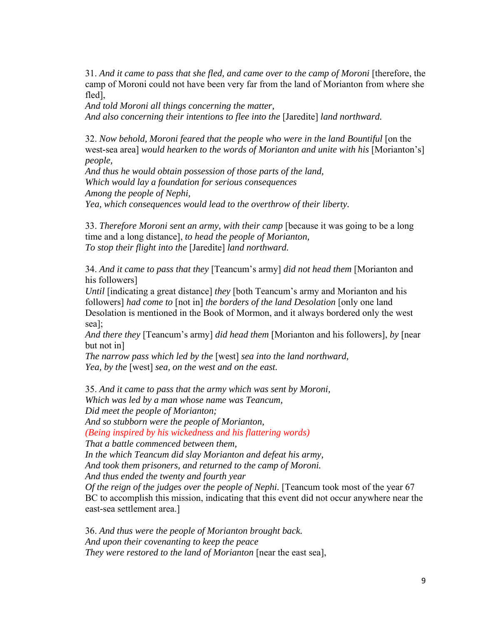31. *And it came to pass that she fled, and came over to the camp of Moroni* [therefore, the camp of Moroni could not have been very far from the land of Morianton from where she fled],

*And told Moroni all things concerning the matter, And also concerning their intentions to flee into the* [Jaredite] *land northward.*

32. *Now behold, Moroni feared that the people who were in the land Bountiful* [on the west-sea area] *would hearken to the words of Morianton and unite with his* [Morianton's] *people,* 

*And thus he would obtain possession of those parts of the land, Which would lay a foundation for serious consequences Among the people of Nephi, Yea, which consequences would lead to the overthrow of their liberty.*

33. *Therefore Moroni sent an army, with their camp* [because it was going to be a long time and a long distance], *to head the people of Morianton, To stop their flight into the* [Jaredite] *land northward.*

34. *And it came to pass that they* [Teancum's army] *did not head them* [Morianton and his followers]

*Until* [indicating a great distance] *they* [both Teancum's army and Morianton and his followers] *had come to* [not in] *the borders of the land Desolation* [only one land Desolation is mentioned in the Book of Mormon, and it always bordered only the west sea];

*And there they* [Teancum's army] *did head them* [Morianton and his followers], *by* [near but not in]

*The narrow pass which led by the* [west] *sea into the land northward, Yea, by the* [west] *sea, on the west and on the east.*

35. *And it came to pass that the army which was sent by Moroni, Which was led by a man whose name was Teancum, Did meet the people of Morianton;* 

*And so stubborn were the people of Morianton,* 

*(Being inspired by his wickedness and his flattering words)* 

*That a battle commenced between them,* 

*In the which Teancum did slay Morianton and defeat his army,* 

*And took them prisoners, and returned to the camp of Moroni.* 

*And thus ended the twenty and fourth year* 

*Of the reign of the judges over the people of Nephi.* [Teancum took most of the year 67 BC to accomplish this mission, indicating that this event did not occur anywhere near the east-sea settlement area.]

36. *And thus were the people of Morianton brought back. And upon their covenanting to keep the peace They were restored to the land of Morianton* [near the east sea],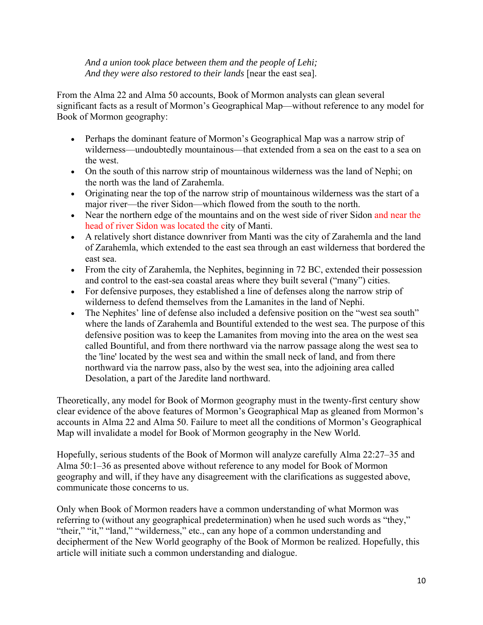*And a union took place between them and the people of Lehi; And they were also restored to their lands* [near the east sea].

From the Alma 22 and Alma 50 accounts, Book of Mormon analysts can glean several significant facts as a result of Mormon's Geographical Map—without reference to any model for Book of Mormon geography:

- Perhaps the dominant feature of Mormon's Geographical Map was a narrow strip of wilderness—undoubtedly mountainous—that extended from a sea on the east to a sea on the west.
- On the south of this narrow strip of mountainous wilderness was the land of Nephi; on the north was the land of Zarahemla.
- Originating near the top of the narrow strip of mountainous wilderness was the start of a major river—the river Sidon—which flowed from the south to the north.
- Near the northern edge of the mountains and on the west side of river Sidon and near the head of river Sidon was located the city of Manti.
- A relatively short distance downriver from Manti was the city of Zarahemla and the land of Zarahemla, which extended to the east sea through an east wilderness that bordered the east sea.
- From the city of Zarahemla, the Nephites, beginning in 72 BC, extended their possession and control to the east-sea coastal areas where they built several ("many") cities.
- For defensive purposes, they established a line of defenses along the narrow strip of wilderness to defend themselves from the Lamanites in the land of Nephi.
- The Nephites' line of defense also included a defensive position on the "west sea south" where the lands of Zarahemla and Bountiful extended to the west sea. The purpose of this defensive position was to keep the Lamanites from moving into the area on the west sea called Bountiful, and from there northward via the narrow passage along the west sea to the 'line' located by the west sea and within the small neck of land, and from there northward via the narrow pass, also by the west sea, into the adjoining area called Desolation, a part of the Jaredite land northward.

Theoretically, any model for Book of Mormon geography must in the twenty-first century show clear evidence of the above features of Mormon's Geographical Map as gleaned from Mormon's accounts in Alma 22 and Alma 50. Failure to meet all the conditions of Mormon's Geographical Map will invalidate a model for Book of Mormon geography in the New World.

Hopefully, serious students of the Book of Mormon will analyze carefully Alma 22:27–35 and Alma 50:1–36 as presented above without reference to any model for Book of Mormon geography and will, if they have any disagreement with the clarifications as suggested above, communicate those concerns to us.

Only when Book of Mormon readers have a common understanding of what Mormon was referring to (without any geographical predetermination) when he used such words as "they," "their," "it," "land," "wilderness," etc., can any hope of a common understanding and decipherment of the New World geography of the Book of Mormon be realized. Hopefully, this article will initiate such a common understanding and dialogue.